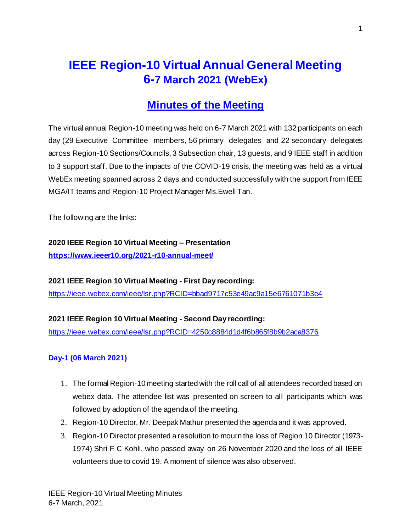# **IEEE Region-10 Virtual Annual General Meeting 6-7 March 2021 (WebEx)**

# **Minutes of the Meeting**

The virtual annual Region-10 meeting was held on 6-7 March 2021 with 132 participants on each day (29 Executive Committee members, 56 primary delegates and 22 secondary delegates across Region-10 Sections/Councils, 3 Subsection chair, 13 guests, and 9 IEEE staff in addition to 3 support staff. Due to the impacts of the COVID-19 crisis, the meeting was held as a virtual WebEx meeting spanned across 2 days and conducted successfully with the support from IEEE MGA/IT teams and Region-10 Project Manager Ms.Ewell Tan.

The following are the links:

#### **2020 IEEE Region 10 Virtual Meeting – Presentation**

**<https://www.ieeer10.org/2021-r10-annual-meet/>**

**2021 IEEE Region 10 Virtual Meeting - First Day recording:** <https://ieee.webex.com/ieee/lsr.php?RCID=bbad9717c53e49ac9a15e6761071b3e4>

# **2021 IEEE Region 10 Virtual Meeting - Second Day recording:**

<https://ieee.webex.com/ieee/lsr.php?RCID=4250c8884d1d4f6b865f8b9b2aca8376>

# **Day-1 (06 March 2021)**

- 1. The formal Region-10 meeting started with the roll call of all attendees recorded based on webex data. The attendee list was presented on screen to all participants which was followed by adoption of the agenda of the meeting.
- 2. Region-10 Director, Mr. Deepak Mathur presented the agenda and it was approved.
- 3. Region-10 Director presented a resolution to mourn the loss of Region 10 Director (1973- 1974) Shri F C Kohli, who passed away on 26 November 2020 and the loss of all IEEE volunteers due to covid 19. A moment of silence was also observed.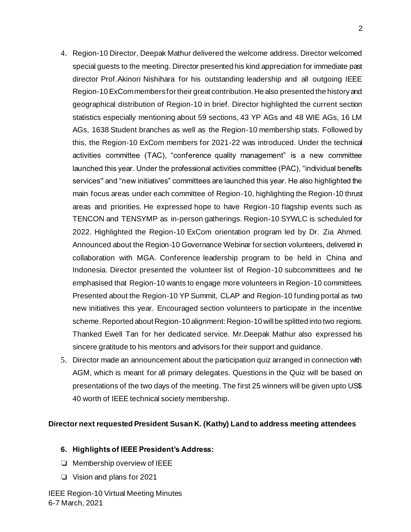- 4. Region-10 Director, Deepak Mathur delivered the welcome address. Director welcomed special guests to the meeting. Director presented his kind appreciation for immediate past director Prof.Akinori Nishihara for his outstanding leadership and all outgoing IEEE Region-10 ExCom members for their great contribution. He also presented the history and geographical distribution of Region-10 in brief. Director highlighted the current section statistics especially mentioning about 59 sections, 43 YP AGs and 48 WIE AGs, 16 LM AGs, 1638 Student branches as well as the Region-10 membership stats. Followed by this, the Region-10 ExCom members for 2021-22 was introduced. Under the technical activities committee (TAC), "conference quality management" is a new committee launched this year. Under the professional activities committee (PAC), "individual benefits services'' and "new initiatives" committees are launched this year. He also highlighted the main focus areas under each committee of Region-10, highlighting the Region-10 thrust areas and priorities. He expressed hope to have Region-10 flagship events such as TENCON and TENSYMP as in-person gatherings. Region-10 SYWLC is scheduled for 2022. Highlighted the Region-10 ExCom orientation program led by Dr. Zia Ahmed. Announced about the Region-10 Governance Webinar for section volunteers, delivered in collaboration with MGA. Conference leadership program to be held in China and Indonesia. Director presented the volunteer list of Region-10 subcommittees and he emphasised that Region-10 wants to engage more volunteers in Region-10 committees. Presented about the Region-10 YP Summit, CLAP and Region-10 funding portal as two new initiatives this year. Encouraged section volunteers to participate in the incentive scheme. Reported about Region-10 alignment: Region-10 will be splitted into two regions. Thanked Ewell Tan for her dedicated service. Mr.Deepak Mathur also expressed his sincere gratitude to his mentors and advisors for their support and guidance.
- 5. Director made an announcement about the participation quiz arranged in connection with AGM, which is meant for all primary delegates. Questions in the Quiz will be based on presentations of the two days of the meeting. The first 25 winners will be given upto US\$ 40 worth of IEEE technical society membership.

#### **Director next requested President Susan K. (Kathy) Land to address meeting attendees**

#### **6. Highlights of IEEE President's Address:**

- ❏ Membership overview of IEEE
- ❏ Vision and plans for 2021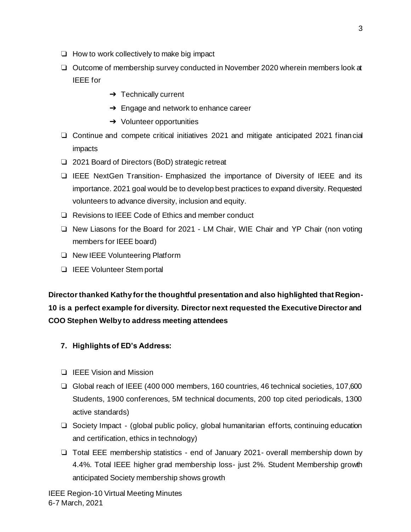- ❏ How to work collectively to make big impact
- ❏ Outcome of membership survey conducted in November 2020 wherein members look at IEEE for
	- $\rightarrow$  Technically current
	- $\rightarrow$  Engage and network to enhance career
	- $\rightarrow$  Volunteer opportunities
- ❏ Continue and compete critical initiatives 2021 and mitigate anticipated 2021 financial impacts
- ❏ 2021 Board of Directors (BoD) strategic retreat
- ❏ IEEE NextGen Transition- Emphasized the importance of Diversity of IEEE and its importance. 2021 goal would be to develop best practices to expand diversity. Requested volunteers to advance diversity, inclusion and equity.
- ❏ Revisions to IEEE Code of Ethics and member conduct
- ❏ New Liasons for the Board for 2021 LM Chair, WIE Chair and YP Chair (non voting members for IEEE board)
- ❏ New IEEE Volunteering Platform
- ❏ IEEE Volunteer Stem portal

**Director thanked Kathy for the thoughtful presentation and also highlighted that Region-10 is a perfect example for diversity. Director next requested the Executive Director and COO Stephen Welby to address meeting attendees**

- **7. Highlights of ED's Address:**
- ❏ IEEE Vision and Mission
- ❏ Global reach of IEEE (400 000 members, 160 countries, 46 technical societies, 107,600 Students, 1900 conferences, 5M technical documents, 200 top cited periodicals, 1300 active standards)
- ❏ Society Impact (global public policy, global humanitarian efforts, continuing education and certification, ethics in technology)
- ❏ TotaI EEE membership statistics end of January 2021- overall membership down by 4.4%. Total IEEE higher grad membership loss- just 2%. Student Membership growth anticipated Society membership shows growth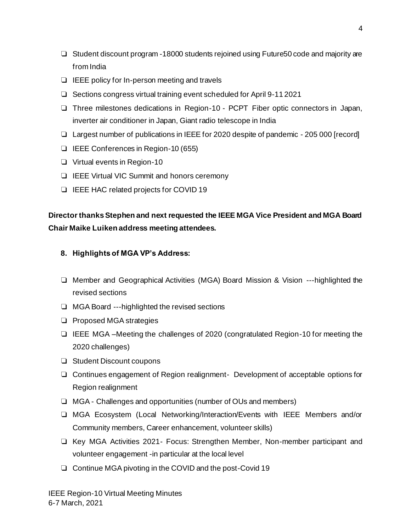- ❏ Student discount program -18000 students rejoined using Future50 code and majority are from India
- ❏ IEEE policy for In-person meeting and travels
- ❏ Sections congress virtual training event scheduled for April 9-11 2021
- ❏ Three milestones dedications in Region-10 PCPT Fiber optic connectors in Japan, inverter air conditioner in Japan, Giant radio telescope in India
- ❏ Largest number of publications in IEEE for 2020 despite of pandemic 205 000 [record]
- ❏ IEEE Conferences in Region-10 (655)
- ❏ Virtual events in Region-10
- ❏ IEEE Virtual VIC Summit and honors ceremony
- ❏ IEEE HAC related projects for COVID 19

# **Director thanks Stephen and next requested the IEEE MGA Vice President and MGA Board Chair Maike Luiken address meeting attendees.**

# **8. Highlights of MGA VP's Address:**

- ❏ Member and Geographical Activities (MGA) Board Mission & Vision ---highlighted the revised sections
- ❏ MGA Board ---highlighted the revised sections
- ❏ Proposed MGA strategies
- ❏ IEEE MGA –Meeting the challenges of 2020 (congratulated Region-10 for meeting the 2020 challenges)
- ❏ Student Discount coupons
- ❏ Continues engagement of Region realignment- Development of acceptable options for Region realignment
- ❏ MGA Challenges and opportunities (number of OUs and members)
- ❏ MGA Ecosystem (Local Networking/Interaction/Events with IEEE Members and/or Community members, Career enhancement, volunteer skills)
- ❏ Key MGA Activities 2021- Focus: Strengthen Member, Non-member participant and volunteer engagement -in particular at the local level
- ❏ Continue MGA pivoting in the COVID and the post-Covid 19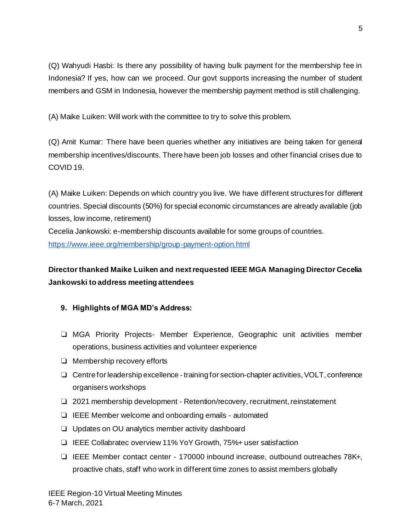(Q) Wahyudi Hasbi: Is there any possibility of having bulk payment for the membership fee in Indonesia? If yes, how can we proceed. Our govt supports increasing the number of student members and GSM in Indonesia, however the membership payment method is still challenging.

(A) Maike Luiken: Will work with the committee to try to solve this problem.

(Q) Amit Kumar: There have been queries whether any initiatives are being taken for general membership incentives/discounts. There have been job losses and other financial crises due to COVID 19.

(A) Maike Luiken: Depends on which country you live. We have different structures for different countries. Special discounts (50%) for special economic circumstances are already available (job losses, low income, retirement)

Cecelia Jankowski: e-membership discounts available for some groups of countries. <https://www.ieee.org/membership/group-payment-option.html>

# **Director thanked Maike Luiken and next requested IEEE MGA Managing Director Cecelia Jankowski to address meeting attendees**

- **9. Highlights of MGA MD's Address:**
- ❏ MGA Priority Projects- Member Experience, Geographic unit activities member operations, business activities and volunteer experience
- ❏ Membership recovery efforts
- ❏ Centre for leadership excellence training for section-chapter activities, VOLT, conference organisers workshops
- ❏ 2021 membership development Retention/recovery, recruitment, reinstatement
- ❏ IEEE Member welcome and onboarding emails automated
- ❏ Updates on OU analytics member activity dashboard
- ❏ IEEE Collabratec overview 11% YoY Growth, 75%+ user satisfaction
- ❏ IEEE Member contact center 170000 inbound increase, outbound outreaches 78K+, proactive chats, staff who work in different time zones to assist members globally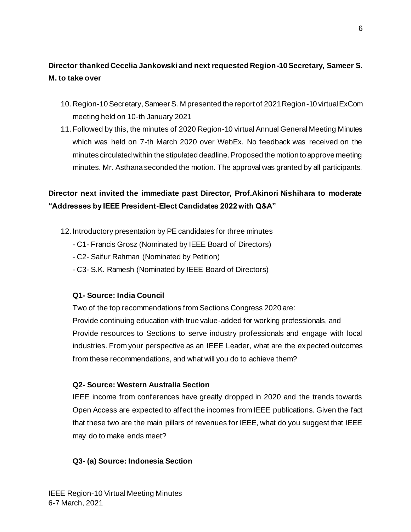# **Director thanked Cecelia Jankowski and next requested Region-10 Secretary, Sameer S. M. to take over**

- 10. Region-10 Secretary, Sameer S. M presented the report of 2021 Region-10 virtual ExCom meeting held on 10-th January 2021
- 11. Followed by this, the minutes of 2020 Region-10 virtual Annual General Meeting Minutes which was held on 7-th March 2020 over WebEx. No feedback was received on the minutes circulated within the stipulated deadline. Proposed the motion to approve meeting minutes. Mr. Asthana seconded the motion. The approval was granted by all participants.

# **Director next invited the immediate past Director, Prof.Akinori Nishihara to moderate "Addresses by IEEE President-Elect Candidates 2022 with Q&A"**

- 12. Introductory presentation by PE candidates for three minutes
	- C1- Francis Grosz (Nominated by IEEE Board of Directors)
	- C2- Saifur Rahman (Nominated by Petition)
	- C3- S.K. Ramesh (Nominated by IEEE Board of Directors)

# **Q1- Source: India Council**

Two of the top recommendations from Sections Congress 2020 are:

Provide continuing education with true value-added for working professionals, and Provide resources to Sections to serve industry professionals and engage with local industries. From your perspective as an IEEE Leader, what are the expected outcomes from these recommendations, and what will you do to achieve them?

# **Q2- Source: Western Australia Section**

IEEE income from conferences have greatly dropped in 2020 and the trends towards Open Access are expected to affect the incomes from IEEE publications. Given the fact that these two are the main pillars of revenues for IEEE, what do you suggest that IEEE may do to make ends meet?

#### **Q3- (a) Source: Indonesia Section**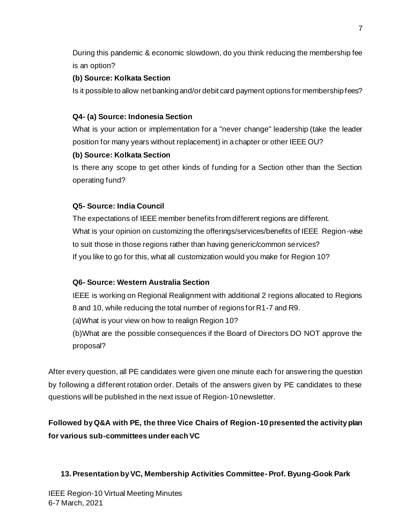During this pandemic & economic slowdown, do you think reducing the membership fee is an option?

# **(b) Source: Kolkata Section**

Is it possible to allow net banking and/or debit card payment options for membership fees?

# **Q4- (a) Source: Indonesia Section**

What is your action or implementation for a "never change" leadership (take the leader position for many years without replacement) in a chapter or other IEEE OU?

# **(b) Source: Kolkata Section**

Is there any scope to get other kinds of funding for a Section other than the Section operating fund?

# **Q5- Source: India Council**

The expectations of IEEE member benefits from different regions are different. What is your opinion on customizing the offerings/services/benefits of IEEE Region-wise to suit those in those regions rather than having generic/common services? If you like to go for this, what all customization would you make for Region 10?

# **Q6- Source: Western Australia Section**

IEEE is working on Regional Realignment with additional 2 regions allocated to Regions 8 and 10, while reducing the total number of regions for R1-7 and R9. (a)What is your view on how to realign Region 10? (b)What are the possible consequences if the Board of Directors DO NOT approve the proposal?

After every question, all PE candidates were given one minute each for answering the question by following a different rotation order. Details of the answers given by PE candidates to these questions will be published in the next issue of Region-10 newsletter.

# **Followed by Q&A with PE, the three Vice Chairs of Region-10 presented the activity plan for various sub-committees under each VC**

# **13.Presentation by VC, Membership Activities Committee- Prof. Byung-Gook Park**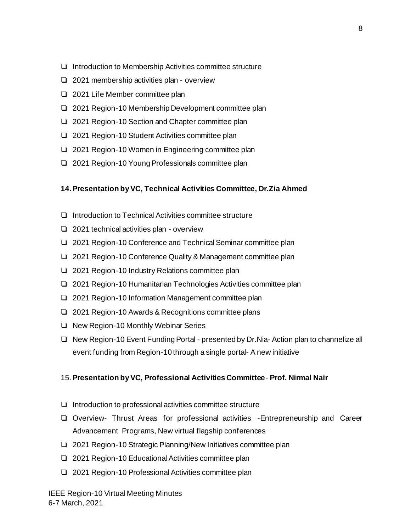- ❏ Introduction to Membership Activities committee structure
- ❏ 2021 membership activities plan overview
- ❏ 2021 Life Member committee plan
- ❏ 2021 Region-10 Membership Development committee plan
- ❏ 2021 Region-10 Section and Chapter committee plan
- ❏ 2021 Region-10 Student Activities committee plan
- ❏ 2021 Region-10 Women in Engineering committee plan
- ❏ 2021 Region-10 Young Professionals committee plan

#### **14.Presentation by VC, Technical Activities Committee, Dr.Zia Ahmed**

- ❏ Introduction to Technical Activities committee structure
- ❏ 2021 technical activities plan overview
- ❏ 2021 Region-10 Conference and Technical Seminar committee plan
- ❏ 2021 Region-10 Conference Quality & Management committee plan
- ❏ 2021 Region-10 Industry Relations committee plan
- ❏ 2021 Region-10 Humanitarian Technologies Activities committee plan
- ❏ 2021 Region-10 Information Management committee plan
- ❏ 2021 Region-10 Awards & Recognitions committee plans
- ❏ New Region-10 Monthly Webinar Series
- ❏ New Region-10 Event Funding Portal presented by Dr.Nia- Action plan to channelize all event funding from Region-10 through a single portal- A new initiative

#### 15.**Presentation by VC, Professional Activities Committee**- **Prof. Nirmal Nair**

- ❏ Introduction to professional activities committee structure
- ❏ Overview- Thrust Areas for professional activities -Entrepreneurship and Career Advancement Programs, New virtual flagship conferences
- ❏ 2021 Region-10 Strategic Planning/New Initiatives committee plan
- ❏ 2021 Region-10 Educational Activities committee plan
- ❏ 2021 Region-10 Professional Activities committee plan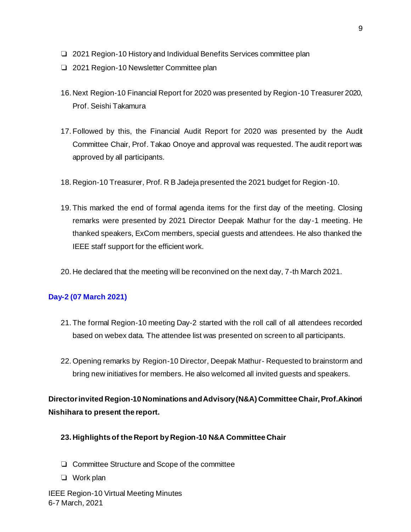- ❏ 2021 Region-10 History and Individual Benefits Services committee plan
- ❏ 2021 Region-10 Newsletter Committee plan
- 16. Next Region-10 Financial Report for 2020 was presented by Region-10 Treasurer 2020, Prof. Seishi Takamura
- 17. Followed by this, the Financial Audit Report for 2020 was presented by the Audit Committee Chair, Prof. Takao Onoye and approval was requested. The audit report was approved by all participants.
- 18. Region-10 Treasurer, Prof. R B Jadeja presented the 2021 budget for Region-10.
- 19. This marked the end of formal agenda items for the first day of the meeting. Closing remarks were presented by 2021 Director Deepak Mathur for the day-1 meeting. He thanked speakers, ExCom members, special guests and attendees. He also thanked the IEEE staff support for the efficient work.
- 20. He declared that the meeting will be reconvined on the next day, 7-th March 2021.

# **Day-2 (07 March 2021)**

- 21. The formal Region-10 meeting Day-2 started with the roll call of all attendees recorded based on webex data. The attendee list was presented on screen to all participants.
- 22.Opening remarks by Region-10 Director, Deepak Mathur- Requested to brainstorm and bring new initiatives for members. He also welcomed all invited guests and speakers.

**Director invited Region-10 Nominations and Advisory (N&A) Committee Chair, Prof.Akinori Nishihara to present the report.**

- **23. Highlights of the Report by Region-10 N&A Committee Chair**
- ❏ Committee Structure and Scope of the committee
- ❏ Work plan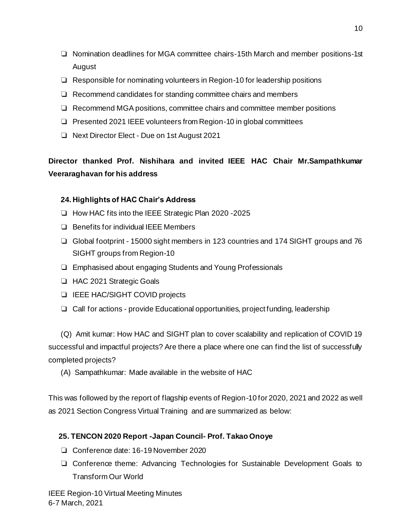- ❏ Nomination deadlines for MGA committee chairs-15th March and member positions-1st August
- ❏ Responsible for nominating volunteers in Region-10 for leadership positions
- ❏ Recommend candidates for standing committee chairs and members
- ❏ Recommend MGA positions, committee chairs and committee member positions
- ❏ Presented 2021 IEEE volunteers from Region-10 in global committees
- ❏ Next Director Elect Due on 1st August 2021

**Director thanked Prof. Nishihara and invited IEEE HAC Chair Mr.Sampathkumar Veeraraghavan for his address** 

# **24. Highlights of HAC Chair's Address**

- ❏ How HAC fits into the IEEE Strategic Plan 2020 -2025
- ❏ Benefits for individual IEEE Members
- ❏ Global footprint 15000 sight members in 123 countries and 174 SIGHT groups and 76 SIGHT groups from Region-10
- ❏ Emphasised about engaging Students and Young Professionals
- ❏ HAC 2021 Strategic Goals
- ❏ IEEE HAC/SIGHT COVID projects
- ❏ Call for actions provide Educational opportunities, project funding, leadership

 (Q) Amit kumar: How HAC and SIGHT plan to cover scalability and replication of COVID 19 successful and impactful projects? Are there a place where one can find the list of successfully completed projects?

(A) Sampathkumar: Made available in the website of HAC

This was followed by the report of flagship events of Region-10 for 2020, 2021 and 2022 as well as 2021 Section Congress Virtual Training and are summarized as below:

# **25. TENCON 2020 Report -Japan Council- Prof. Takao Onoye**

- ❏ Conference date: 16-19 November 2020
- ❏ Conference theme: Advancing Technologies for Sustainable Development Goals to Transform Our World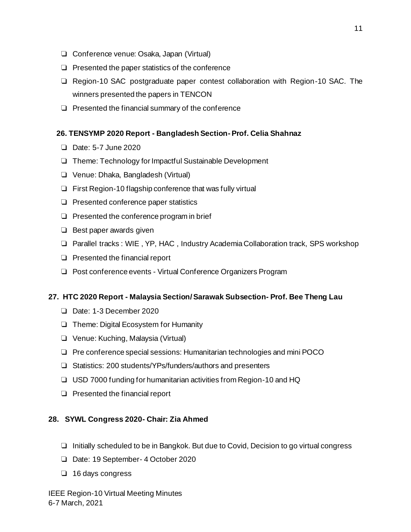- ❏ Conference venue: Osaka, Japan (Virtual)
- ❏ Presented the paper statistics of the conference
- ❏ Region-10 SAC postgraduate paper contest collaboration with Region-10 SAC. The winners presented the papers in TENCON
- ❏ Presented the financial summary of the conference

#### **26. TENSYMP 2020 Report - Bangladesh Section- Prof. Celia Shahnaz**

- ❏ Date: 5-7 June 2020
- ❏ Theme: Technology for Impactful Sustainable Development
- ❏ Venue: Dhaka, Bangladesh (Virtual)
- ❏ First Region-10 flagship conference that was fully virtual
- ❏ Presented conference paper statistics
- ❏ Presented the conference program in brief
- ❏ Best paper awards given
- ❏ Parallel tracks : WIE , YP, HAC , Industry Academia Collaboration track, SPS workshop
- ❏ Presented the financial report
- ❏ Post conference events Virtual Conference Organizers Program

#### **27. HTC 2020 Report - Malaysia Section/ Sarawak Subsection- Prof. Bee Theng Lau**

- ❏ Date: 1-3 December 2020
- ❏ Theme: Digital Ecosystem for Humanity
- ❏ Venue: Kuching, Malaysia (Virtual)
- ❏ Pre conference special sessions: Humanitarian technologies and mini POCO
- ❏ Statistics: 200 students/YPs/funders/authors and presenters
- ❏ USD 7000 funding for humanitarian activities from Region-10 and HQ
- ❏ Presented the financial report

#### **28. SYWL Congress 2020- Chair: Zia Ahmed**

- ❏ Initially scheduled to be in Bangkok. But due to Covid, Decision to go virtual congress
- ❏ Date: 19 September- 4 October 2020
- ❏ 16 days congress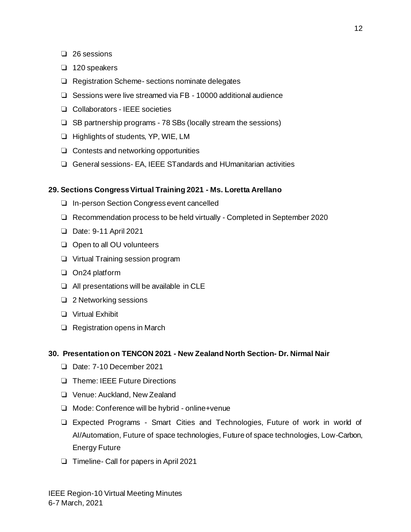- ❏ 26 sessions
- ❏ 120 speakers
- ❏ Registration Scheme- sections nominate delegates
- ❏ Sessions were live streamed via FB 10000 additional audience
- ❏ Collaborators IEEE societies
- ❏ SB partnership programs 78 SBs (locally stream the sessions)
- ❏ Highlights of students, YP, WIE, LM
- ❏ Contests and networking opportunities
- ❏ General sessions- EA, IEEE STandards and HUmanitarian activities

#### **29. Sections Congress Virtual Training 2021 - Ms. Loretta Arellano**

- ❏ In-person Section Congress event cancelled
- ❏ Recommendation process to be held virtually Completed in September 2020
- ❏ Date: 9-11 April 2021
- ❏ Open to all OU volunteers
- ❏ Virtual Training session program
- ❏ On24 platform
- ❏ All presentations will be available in CLE
- ❏ 2 Networking sessions
- ❏ Virtual Exhibit
- ❏ Registration opens in March

#### **30. Presentation on TENCON 2021 - New Zealand North Section- Dr. Nirmal Nair**

- ❏ Date: 7-10 December 2021
- ❏ Theme: IEEE Future Directions
- ❏ Venue: Auckland, New Zealand
- ❏ Mode: Conference will be hybrid online+venue
- ❏ Expected Programs Smart Cities and Technologies, Future of work in world of AI/Automation, Future of space technologies, Future of space technologies, Low-Carbon, Energy Future
- ❏ Timeline- Call for papers in April 2021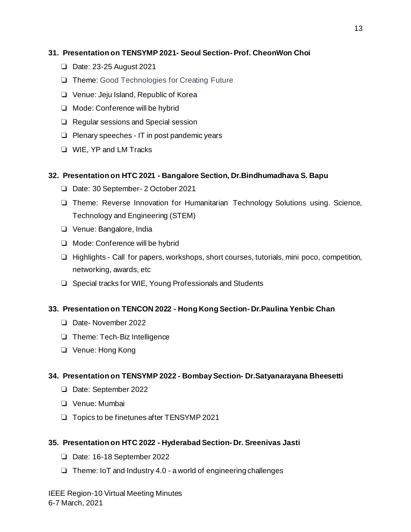# **31. Presentation on TENSYMP 2021- Seoul Section- Prof. CheonWon Choi**

- ❏ Date: 23-25 August 2021
- ❏ Theme: Good Technologies for Creating Future
- ❏ Venue: Jeju Island, Republic of Korea
- ❏ Mode: Conference will be hybrid
- ❏ Regular sessions and Special session
- ❏ Plenary speeches IT in post pandemic years
- ❏ WIE, YP and LM Tracks

# **32. Presentation on HTC 2021 - Bangalore Section, Dr.Bindhumadhava S. Bapu**

- ❏ Date: 30 September- 2 October 2021
- ❏ Theme: Reverse Innovation for Humanitarian Technology Solutions using. Science, Technology and Engineering (STEM)
- ❏ Venue: Bangalore, India
- ❏ Mode: Conference will be hybrid
- ❏ Highlights Call for papers, workshops, short courses, tutorials, mini poco, competition, networking, awards, etc
- ❏ Special tracks for WIE, Young Professionals and Students

# **33. Presentation on TENCON 2022 - Hong Kong Section- Dr.Paulina Yenbic Chan**

- ❏ Date- November 2022
- ❏ Theme: Tech-Biz Intelligence
- ❏ Venue: Hong Kong

# **34. Presentation on TENSYMP 2022 - Bombay Section- Dr.Satyanarayana Bheesetti**

- ❏ Date: September 2022
- ❏ Venue: Mumbai
- ❏ Topics to be finetunes after TENSYMP 2021

# **35. Presentation on HTC 2022 - Hyderabad Section- Dr. Sreenivas Jasti**

- ❏ Date: 16-18 September 2022
- ❏ Theme: IoT and Industry 4.0 a world of engineering challenges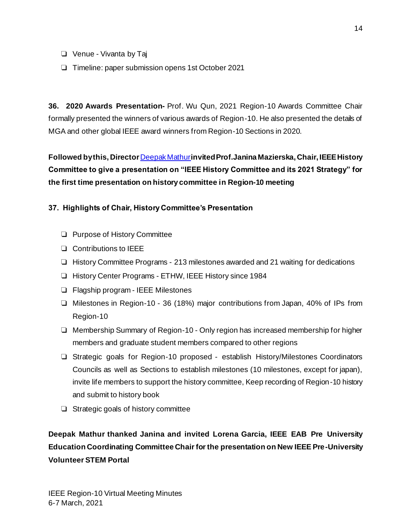- ❏ Venue Vivanta by Taj
- ❏ Timeline: paper submission opens 1st October 2021

**36. 2020 Awards Presentation-** Prof. Wu Qun, 2021 Region-10 Awards Committee Chair formally presented the winners of various awards of Region-10. He also presented the details of MGA and other global IEEE award winners from Region-10 Sections in 2020.

**Followed by this, Director** [Deepak Mathur](mailto:mathur_d@hotmail.com)**invited Prof.Janina Mazierska, Chair, IEEE History Committee to give a presentation on "IEEE History Committee and its 2021 Strategy" for the first time presentation on history committee in Region-10 meeting**

# **37. Highlights of Chair, History Committee's Presentation**

- ❏ Purpose of History Committee
- ❏ Contributions to IEEE
- ❏ History Committee Programs 213 milestones awarded and 21 waiting for dedications
- ❏ History Center Programs ETHW, IEEE History since 1984
- ❏ Flagship program IEEE Milestones
- ❏ Milestones in Region-10 36 (18%) major contributions from Japan, 40% of IPs from Region-10
- ❏ Membership Summary of Region-10 Only region has increased membership for higher members and graduate student members compared to other regions
- ❏ Strategic goals for Region-10 proposed establish History/Milestones Coordinators Councils as well as Sections to establish milestones (10 milestones, except for japan), invite life members to support the history committee, Keep recording of Region-10 history and submit to history book
- ❏ Strategic goals of history committee

**Deepak Mathur thanked Janina and invited Lorena Garcia, IEEE EAB Pre University Education Coordinating Committee Chair for the presentation on New IEEE Pre-University Volunteer STEM Portal**